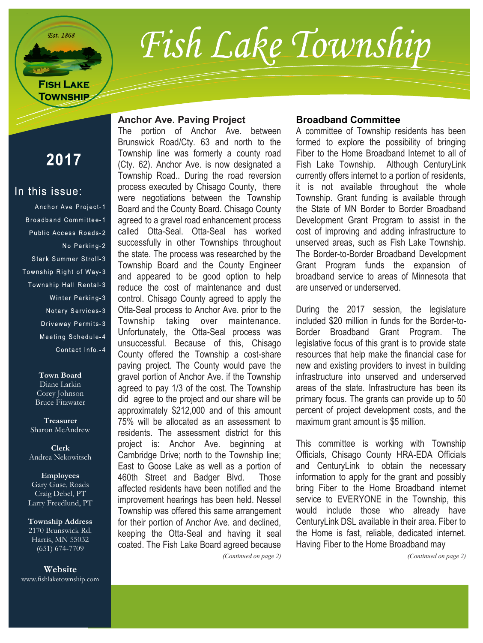

# Fish Lake Township

## 2017

#### In this issue:

Anchor Ave Project-1 Broadband Committee-1 Public Access Roads-2 No Parking-2 Stark Summer Stroll-3 Township Right of Way-3 Township Hall Rental-3 Winter Parking-3 Notary Services-3 Driveway Permits-3 Meeting Schedule-4 Contact Info.-4

> **Town Board** Diane Larkin Corey Johnson Bruce Fitzwater

**Treasurer** Sharon McAndrew

**Clerk** Andrea Nekowitsch

**Employees** Gary Guse, Roads Craig Debel, PT Larry Freedlund, PT

**Township Address** 2170 Brunswick Rd. Harris, MN 55032 (651) 674-7709

**Website** www.fishlaketownship.com

#### **Anchor Ave. Paving Project**

The portion of Anchor Ave. between Brunswick Road/Cty. 63 and north to the Township line was formerly a county road (Cty. 62). Anchor Ave. is now designated a Township Road.. During the road reversion process executed by Chisago County, there were negotiations between the Township Board and the County Board. Chisago County agreed to a gravel road enhancement process called Otta-Seal. Otta-Seal has worked successfully in other Townships throughout the state. The process was researched by the Township Board and the County Engineer and appeared to be good option to help reduce the cost of maintenance and dust control. Chisago County agreed to apply the Otta-Seal process to Anchor Ave. prior to the Township taking over maintenance. Unfortunately, the Otta-Seal process was unsuccessful. Because of this, Chisago County offered the Township a cost-share paving project. The County would pave the gravel portion of Anchor Ave. if the Township agreed to pay 1/3 of the cost. The Township did agree to the project and our share will be approximately \$212,000 and of this amount 75% will be allocated as an assessment to residents. The assessment district for this project is: Anchor Ave. beginning at Cambridge Drive; north to the Township line; East to Goose Lake as well as a portion of 460th Street and Badger Blvd. Those affected residents have been notified and the improvement hearings has been held. Nessel Township was offered this same arrangement for their portion of Anchor Ave. and declined, keeping the Otta-Seal and having it seal coated. The Fish Lake Board agreed because

#### **Broadband Committee**

A committee of Township residents has been formed to explore the possibility of bringing Fiber to the Home Broadband Internet to all of Fish Lake Township. Although CenturyLink currently offers internet to a portion of residents, it is not available throughout the whole Township. Grant funding is available through the State of MN Border to Border Broadband Development Grant Program to assist in the cost of improving and adding infrastructure to unserved areas, such as Fish Lake Township. The Border-to-Border Broadband Development Grant Program funds the expansion of broadband service to areas of Minnesota that are unserved or underserved.

During the 2017 session, the legislature included \$20 million in funds for the Border-to-Border Broadband Grant Program. The legislative focus of this grant is to provide state resources that help make the financial case for new and existing providers to invest in building infrastructure into unserved and underserved areas of the state. Infrastructure has been its primary focus. The grants can provide up to 50 percent of project development costs, and the maximum grant amount is \$5 million.

This committee is working with Township Officials, Chisago County HRA-EDA Officials and CenturyLink to obtain the necessary information to apply for the grant and possibly bring Fiber to the Home Broadband internet service to EVERYONE in the Township, this would include those who already have CenturyLink DSL available in their area. Fiber to the Home is fast, reliable, dedicated internet. Having Fiber to the Home Broadband may

*(Continued on page 2)*

*(Continued on page 2)*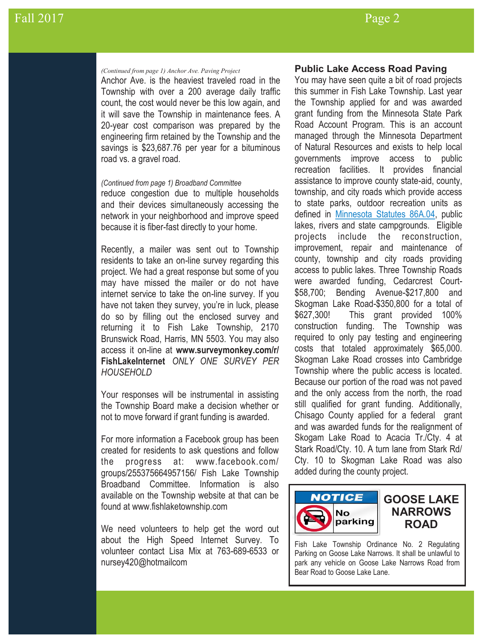#### *(Continued from page 1) Anchor Ave. Paving Project*

Anchor Ave. is the heaviest traveled road in the Township with over a 200 average daily traffic count, the cost would never be this low again, and it will save the Township in maintenance fees. A 20-year cost comparison was prepared by the engineering firm retained by the Township and the savings is \$23,687.76 per year for a bituminous road vs. a gravel road.

#### *(Continued from page 1) Broadband Committee*

reduce congestion due to multiple households and their devices simultaneously accessing the network in your neighborhood and improve speed because it is fiber-fast directly to your home.

Recently, a mailer was sent out to Township residents to take an on-line survey regarding this project. We had a great response but some of you may have missed the mailer or do not have internet service to take the on-line survey. If you have not taken they survey, you're in luck, please do so by filling out the enclosed survey and returning it to Fish Lake Township, 2170 Brunswick Road, Harris, MN 5503. You may also access it on-line at **www.surveymonkey.com/r/ FishLakeInternet** *ONLY ONE SURVEY PER HOUSEHOLD*

Your responses will be instrumental in assisting the Township Board make a decision whether or not to move forward if grant funding is awarded.

For more information a Facebook group has been created for residents to ask questions and follow the progress at: www.facebook.com/ groups/255375664957156/ Fish Lake Township Broadband Committee. Information is also available on the Township website at that can be found at www.fishlaketownship.com

We need volunteers to help get the word out about the High Speed Internet Survey. To volunteer contact Lisa Mix at 763-689-6533 or nursey420@hotmailcom

#### **Public Lake Access Road Paving**

You may have seen quite a bit of road projects this summer in Fish Lake Township. Last year the Township applied for and was awarded grant funding from the Minnesota State Park Road Account Program. This is an account managed through the Minnesota Department of Natural Resources and exists to help local governments improve access to public recreation facilities. It provides financial assistance to improve county state-aid, county, township, and city roads which provide access to state parks, outdoor recreation units as defined in [Minnesota Statutes 86A.04,](https://www.revisor.mn.gov/statutes/?id=86A.04) public lakes, rivers and state campgrounds. Eligible projects include the reconstruction, improvement, repair and maintenance of county, township and city roads providing access to public lakes. Three Township Roads were awarded funding, Cedarcrest Court- \$58,700; Bending Avenue-\$217,800 and Skogman Lake Road-\$350,800 for a total of \$627,300! This grant provided 100% construction funding. The Township was required to only pay testing and engineering costs that totaled approximately \$65,000. Skogman Lake Road crosses into Cambridge Township where the public access is located. Because our portion of the road was not paved and the only access from the north, the road still qualified for grant funding. Additionally, Chisago County applied for a federal grant and was awarded funds for the realignment of Skogam Lake Road to Acacia Tr./Cty. 4 at Stark Road/Cty. 10. A turn lane from Stark Rd/ Cty. 10 to Skogman Lake Road was also added during the county project.



Fish Lake Township Ordinance No. 2 Regulating Parking on Goose Lake Narrows. It shall be unlawful to park any vehicle on Goose Lake Narrows Road from Bear Road to Goose Lake Lane.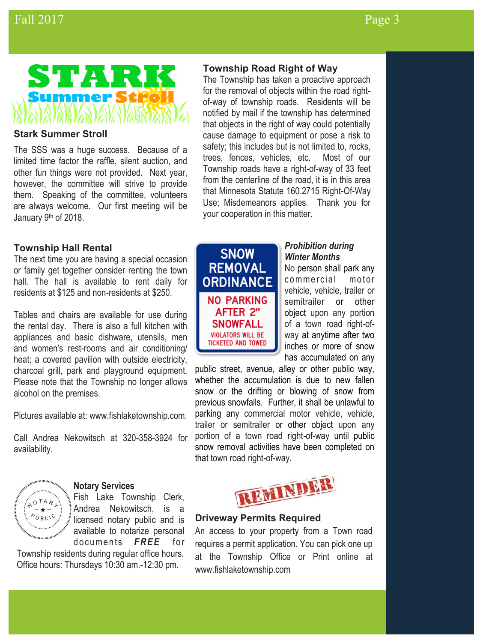

#### **Stark Summer Stroll**

The SSS was a huge success. Because of a limited time factor the raffle, silent auction, and other fun things were not provided. Next year, however, the committee will strive to provide them. Speaking of the committee, volunteers are always welcome. Our first meeting will be January 9<sup>th</sup> of 2018.

#### **Township Hall Rental**

The next time you are having a special occasion or family get together consider renting the town hall. The hall is available to rent daily for residents at \$125 and non-residents at \$250.

Tables and chairs are available for use during the rental day. There is also a full kitchen with appliances and basic dishware, utensils, men and women's rest-rooms and air conditioning/ heat; a covered pavilion with outside electricity, charcoal grill, park and playground equipment. Please note that the Township no longer allows alcohol on the premises.

Pictures available at: www.fishlaketownship.com.

Call Andrea Nekowitsch at 320-358-3924 for availability.



#### **Notary Services**

Fish Lake Township Clerk, Andrea Nekowitsch, is a licensed notary public and is available to notarize personal documents **FREE** for

Township residents during regular office hours. Office hours: Thursdays 10:30 am.-12:30 pm.

#### **Township Road Right of Way**

The Township has taken a proactive approach for the removal of objects within the road rightof-way of township roads. Residents will be notified by mail if the township has determined that objects in the right of way could potentially cause damage to equipment or pose a risk to safety; this includes but is not limited to, rocks, trees, fences, vehicles, etc. Most of our Township roads have a right-of-way of 33 feet from the centerline of the road, it is in this area that Minnesota Statute 160.2715 Right-Of-Way Use; Misdemeanors applies. Thank you for your cooperation in this matter.



#### *Prohibition during Winter Months*

No person shall park any commercial motor vehicle, vehicle, trailer or semitrailer or other object upon any portion of a town road right-ofway at anytime after two inches or more of snow has accumulated on any

public street, avenue, alley or other public way, whether the accumulation is due to new fallen snow or the drifting or blowing of snow from previous snowfalls. Further, it shall be unlawful to parking any commercial motor vehicle, vehicle, trailer or semitrailer or other object upon any portion of a town road right-of-way until public snow removal activities have been completed on that town road right-of-way.



#### **Driveway Permits Required**

An access to your property from a Town road requires a permit application. You can pick one up at the Township Office or Print online at www.fishlaketownship.com